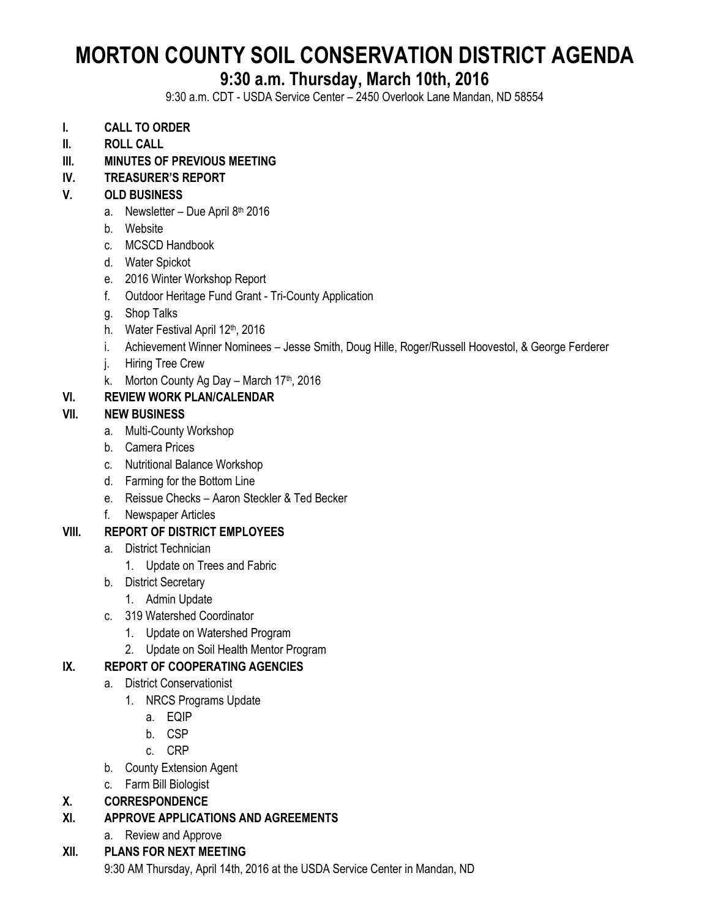# **MORTON COUNTY SOIL CONSERVATION DISTRICT AGENDA**

## **9:30 a.m. Thursday, March 10th, 2016**

9:30 a.m. CDT - USDA Service Center – 2450 Overlook Lane Mandan, ND 58554

- **I. CALL TO ORDER**
- **II. ROLL CALL**
- **III. MINUTES OF PREVIOUS MEETING**

#### **IV. TREASURER'S REPORT**

#### **V. OLD BUSINESS**

- a. Newsletter Due April 8<sup>th</sup> 2016
- b. Website
- c. MCSCD Handbook
- d. Water Spickot
- e. 2016 Winter Workshop Report
- f. Outdoor Heritage Fund Grant Tri-County Application
- g. Shop Talks
- h. Water Festival April 12<sup>th</sup>, 2016
- i. Achievement Winner Nominees Jesse Smith, Doug Hille, Roger/Russell Hoovestol, & George Ferderer
- j. Hiring Tree Crew
- k. Morton County Ag Day March  $17<sup>th</sup>$ , 2016

#### **VI. REVIEW WORK PLAN/CALENDAR**

#### **VII. NEW BUSINESS**

- a. Multi-County Workshop
- b. Camera Prices
- c. Nutritional Balance Workshop
- d. Farming for the Bottom Line
- e. Reissue Checks Aaron Steckler & Ted Becker
- f. Newspaper Articles

#### **VIII. REPORT OF DISTRICT EMPLOYEES**

- a. District Technician
	- 1. Update on Trees and Fabric
- b. District Secretary
	- 1. Admin Update
- c. 319 Watershed Coordinator
	- 1. Update on Watershed Program
	- 2. Update on Soil Health Mentor Program

#### **IX. REPORT OF COOPERATING AGENCIES**

- a. District Conservationist
	- 1. NRCS Programs Update
		- a. EQIP
		- b. CSP
		- c. CRP
- b. County Extension Agent
- c. Farm Bill Biologist

#### **X. CORRESPONDENCE**

- **XI. APPROVE APPLICATIONS AND AGREEMENTS**
	- a. Review and Approve

### **XII. PLANS FOR NEXT MEETING**

9:30 AM Thursday, April 14th, 2016 at the USDA Service Center in Mandan, ND